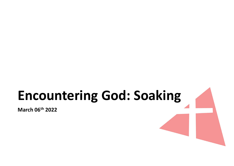# Encountering God: Soaking

March 06th 2022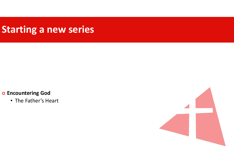#### Starting a new series

#### o Encountering God

• The Father's Heart

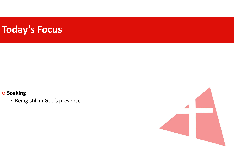## Today's Focus

#### o Soaking

• Being still in God's presence

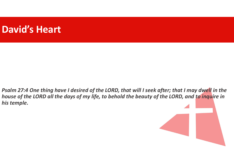#### David's Heart

Psalm 27:4 One thing have I desired of the LORD, that will I seek after; that I may dwell in the house of the LORD all the days of my life, to behold the beauty of the LORD, and to inquire in his temple.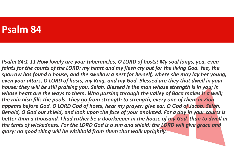#### Psalm 84

Psalm 84:1-11 How lovely are your tabernacles, O LORD of hosts! My soul longs, yea, even faints for the courts of the LORD: my heart and my flesh cry out for the living God. Yea, the sparrow has found a house, and the swallow a nest for herself, where she may lay her young, even your altars, O LORD of hosts, my King, and my God. Blessed are they that dwell in your house: they will be still praising you. Selah. Blessed is the man whose strength is in you; in whose heart are the ways to them. Who passing through the valley of Baca makes it a well; the rain also fills the pools. They go from strength to strength, every one of them in Zion appears before God. O LORD God of hosts, hear my prayer: give ear, O God of Jacob. Selah. Behold, O God our shield, and look upon the face of your anointed. For a day in your courts is better than a thousand. I had rather be a doorkeeper in the house of my God, than to dwell in the tents of wickedness. For the LORD God is a sun and shield: the LORD will give grace and glory: no good thing will he withhold from them that walk uprightly.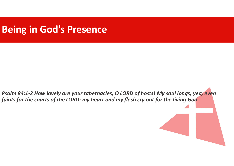### Being in God's Presence

Psalm 84:1-2 How lovely are your tabernacles, O LORD of hosts! My soul longs, yea, even faints for the courts of the LORD: my heart and my flesh cry out for the living God.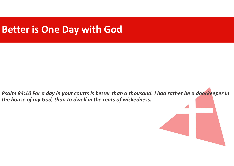#### Better is One Day with God

Psalm 84:10 For a day in your courts is better than a thousand. I had rather be a doorkeeper in the house of my God, than to dwell in the tents of wickedness.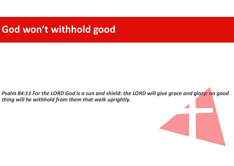### God won't withhold good

Psalm 84:11 For the LORD God is a sun and shield: the LORD will give grace and glory: no good thing will he withhold from them that walk uprightly.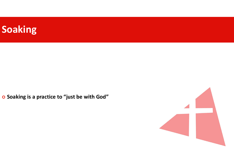

o Soaking is a practice to "just be with God"

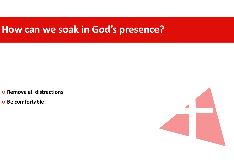#### How can we soak in God's presence?

o Remove all distractions

o Be comfortable

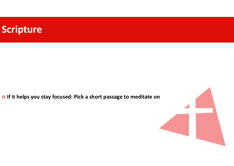

o If it helps you stay focused: Pick a short passage to meditate on

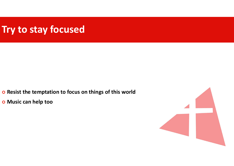### Try to stay focused

- o Resist the temptation to focus on things of this world
- o Music can help too

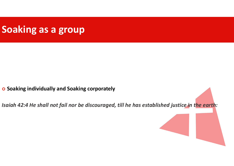### Soaking as a group

o Soaking individually and Soaking corporately

Isaiah 42:4 He shall not fail nor be discouraged, till he has established justice in the earth: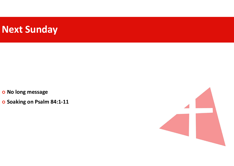### Next Sunday

o No long message

o Soaking on Psalm 84:1-11

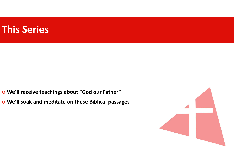#### This Series

We'll receive teachings about "God our Father"

We'll soak and meditate on these Biblical passages